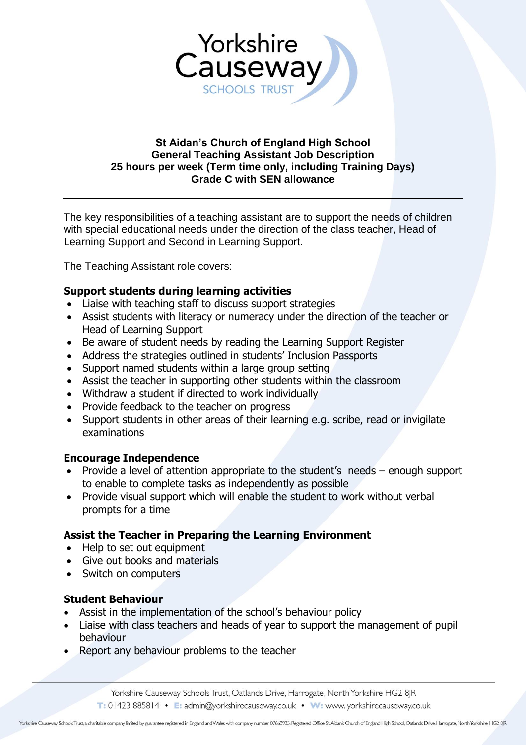

### **St Aidan's Church of England High School General Teaching Assistant Job Description 25 hours per week (Term time only, including Training Days) Grade C with SEN allowance**

The key responsibilities of a teaching assistant are to support the needs of children with special educational needs under the direction of the class teacher, Head of Learning Support and Second in Learning Support.

The Teaching Assistant role covers:

### **Support students during learning activities**

- Liaise with teaching staff to discuss support strategies
- Assist students with literacy or numeracy under the direction of the teacher or Head of Learning Support
- Be aware of student needs by reading the Learning Support Register
- Address the strategies outlined in students' Inclusion Passports
- Support named students within a large group setting
- Assist the teacher in supporting other students within the classroom
- Withdraw a student if directed to work individually
- Provide feedback to the teacher on progress
- Support students in other areas of their learning e.g. scribe, read or invigilate examinations

#### **Encourage Independence**

- Provide a level of attention appropriate to the student's needs enough support to enable to complete tasks as independently as possible
- Provide visual support which will enable the student to work without verbal prompts for a time

#### **Assist the Teacher in Preparing the Learning Environment**

- Help to set out equipment
- Give out books and materials
- Switch on computers

#### **Student Behaviour**

- Assist in the implementation of the school's behaviour policy
- Liaise with class teachers and heads of year to support the management of pupil behaviour
- Report any behaviour problems to the teacher

Yorkshire Causeway Schools Trust, Oatlands Drive, Harrogate, North Yorkshire HG2 8JR T: 01423 885814 • E: admin@yorkshirecauseway.co.uk • W: www. yorkshirecauseway.co.uk